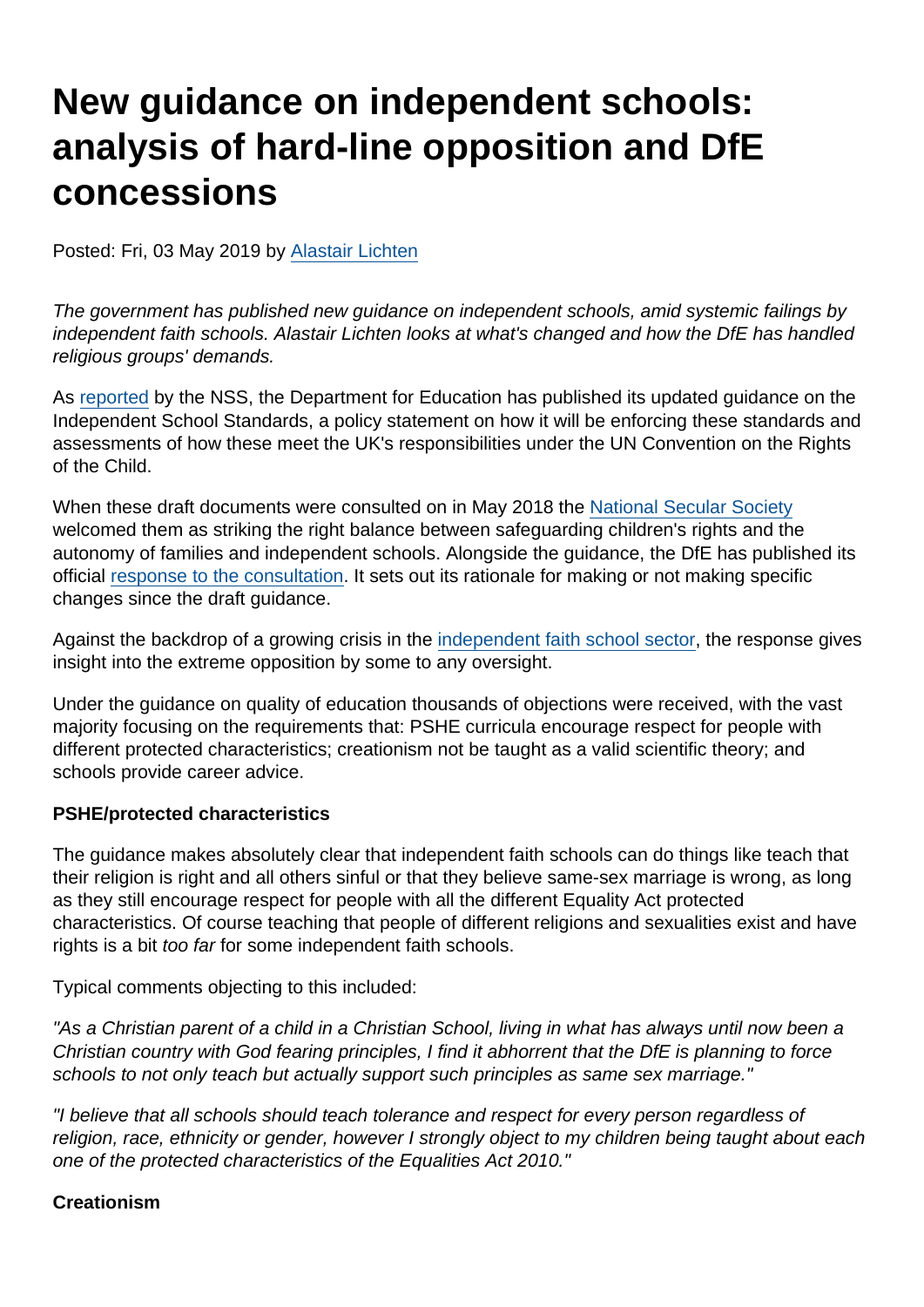# New guidance on independent schools: analysis of hard-line opposition and DfE concessions

Posted: Fri, 03 May 2019 by [Alastair Lichten](https://www.secularism.org.uk/opinion/authors/847)

The government has published new guidance on independent schools, amid systemic failings by independent faith schools. Alastair Lichten looks at what's changed and how the DfE has handled religious groups' demands.

As [reported](https://www.secularism.org.uk/news/2019/05/dfe-de-prioritises-respect-for-difference-in-independent-schools) by the NSS, the Department for Education has published its updated guidance on the Independent School Standards, a policy statement on how it will be enforcing these standards and assessments of how these meet the UK's responsibilities under the UN Convention on the Rights of the Child.

When these draft documents were consulted on in May 2018 the [National Secular Society](https://www.secularism.org.uk/news/2018/05/nss-guidance-for-independent-schools-strikes-the-right-balance) welcomed them as striking the right balance between safeguarding children's rights and the autonomy of families and independent schools. Alongside the guidance, the DfE has published its official [response to the consultation](https://assets.publishing.service.gov.uk/government/uploads/system/uploads/attachment_data/file/798474/ISS_Consultation_Response-_April_2019.pdf). It sets out its rationale for making or not making specific changes since the draft guidance.

Against the backdrop of a growing crisis in the [independent faith school sector](https://www.secularism.org.uk/news/tags/Independent+Schools), the response gives insight into the extreme opposition by some to any oversight.

Under the guidance on quality of education thousands of objections were received, with the vast majority focusing on the requirements that: PSHE curricula encourage respect for people with different protected characteristics; creationism not be taught as a valid scientific theory; and schools provide career advice.

### PSHE/protected characteristics

The guidance makes absolutely clear that independent faith schools can do things like teach that their religion is right and all others sinful or that they believe same-sex marriage is wrong, as long as they still encourage respect for people with all the different Equality Act protected characteristics. Of course teaching that people of different religions and sexualities exist and have rights is a bit too far for some independent faith schools.

Typical comments objecting to this included:

"As a Christian parent of a child in a Christian School, living in what has always until now been a Christian country with God fearing principles, I find it abhorrent that the DfE is planning to force schools to not only teach but actually support such principles as same sex marriage."

"I believe that all schools should teach tolerance and respect for every person regardless of religion, race, ethnicity or gender, however I strongly object to my children being taught about each one of the protected characteristics of the Equalities Act 2010."

**Creationism**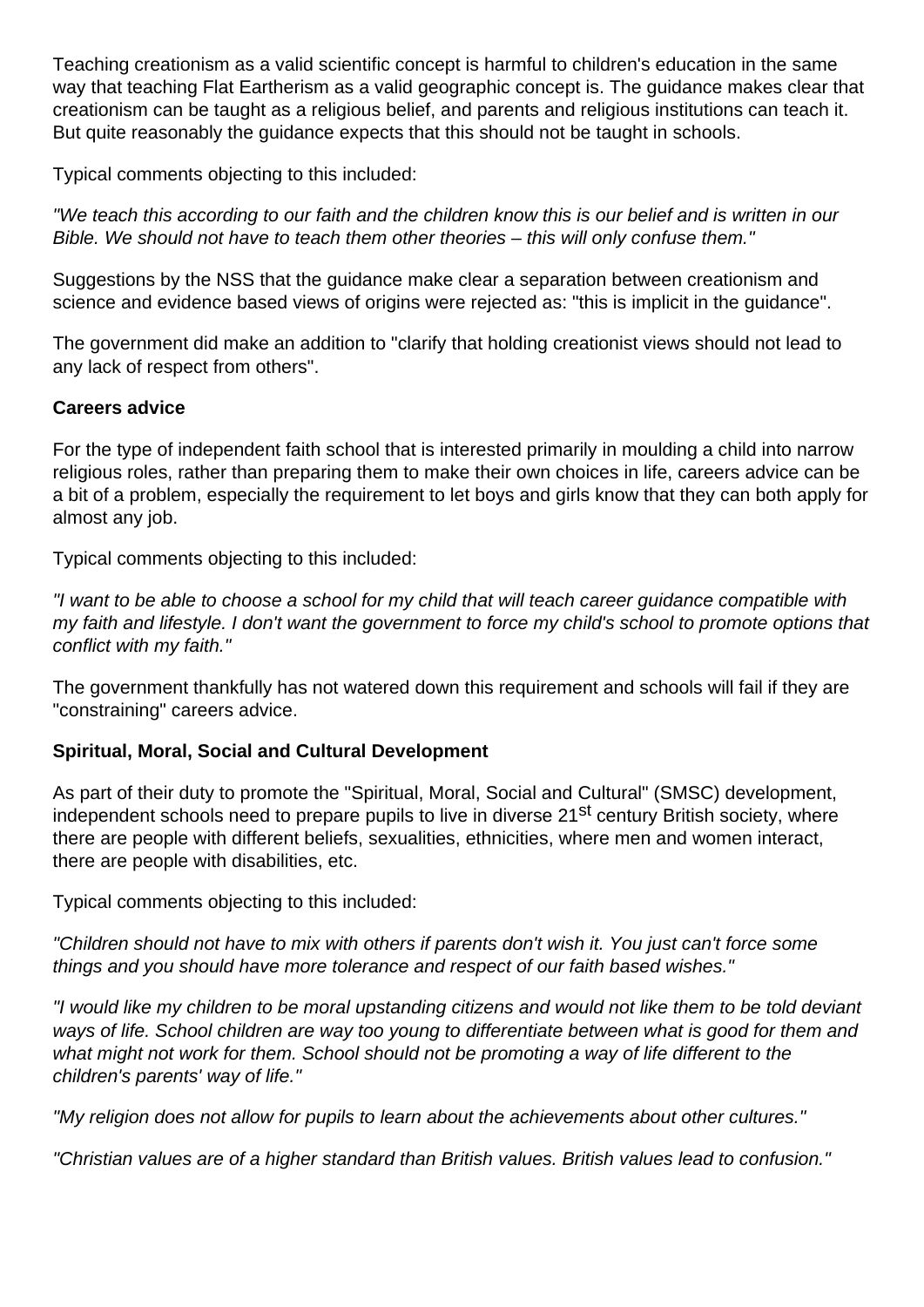Teaching creationism as a valid scientific concept is harmful to children's education in the same way that teaching Flat Eartherism as a valid geographic concept is. The guidance makes clear that creationism can be taught as a religious belief, and parents and religious institutions can teach it. But quite reasonably the guidance expects that this should not be taught in schools.

Typical comments objecting to this included:

"We teach this according to our faith and the children know this is our belief and is written in our Bible. We should not have to teach them other theories – this will only confuse them."

Suggestions by the NSS that the guidance make clear a separation between creationism and science and evidence based views of origins were rejected as: "this is implicit in the guidance".

The government did make an addition to "clarify that holding creationist views should not lead to any lack of respect from others".

### **Careers advice**

For the type of independent faith school that is interested primarily in moulding a child into narrow religious roles, rather than preparing them to make their own choices in life, careers advice can be a bit of a problem, especially the requirement to let boys and girls know that they can both apply for almost any job.

Typical comments objecting to this included:

"I want to be able to choose a school for my child that will teach career guidance compatible with my faith and lifestyle. I don't want the government to force my child's school to promote options that conflict with my faith."

The government thankfully has not watered down this requirement and schools will fail if they are "constraining" careers advice.

## **Spiritual, Moral, Social and Cultural Development**

As part of their duty to promote the "Spiritual, Moral, Social and Cultural" (SMSC) development, independent schools need to prepare pupils to live in diverse 21<sup>st</sup> century British society, where there are people with different beliefs, sexualities, ethnicities, where men and women interact, there are people with disabilities, etc.

Typical comments objecting to this included:

"Children should not have to mix with others if parents don't wish it. You just can't force some things and you should have more tolerance and respect of our faith based wishes."

"I would like my children to be moral upstanding citizens and would not like them to be told deviant ways of life. School children are way too young to differentiate between what is good for them and what might not work for them. School should not be promoting a way of life different to the children's parents' way of life."

"My religion does not allow for pupils to learn about the achievements about other cultures."

"Christian values are of a higher standard than British values. British values lead to confusion."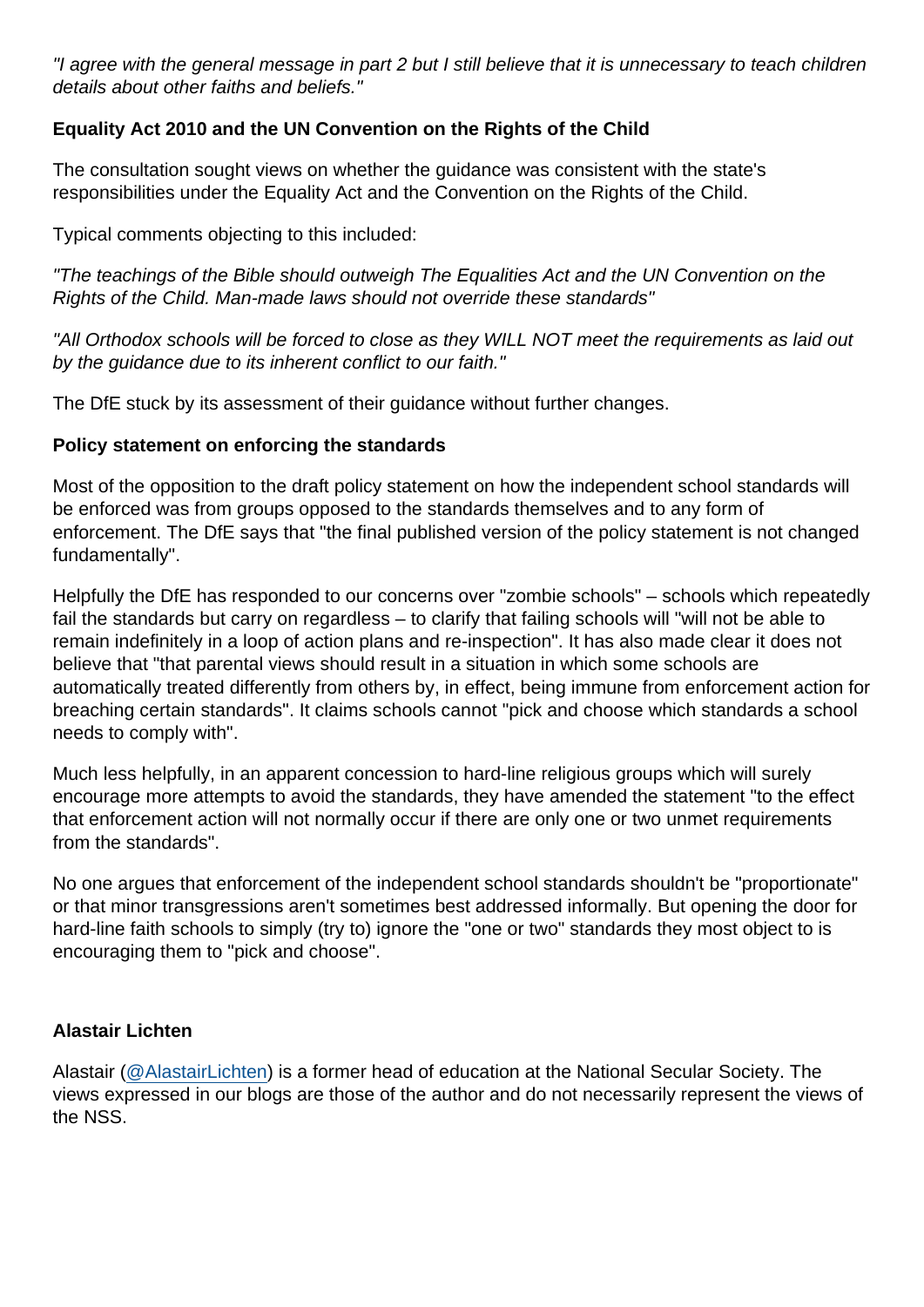"I agree with the general message in part 2 but I still believe that it is unnecessary to teach children details about other faiths and beliefs."

Equality Act 2010 and the UN Convention on the Rights of the Child

The consultation sought views on whether the guidance was consistent with the state's responsibilities under the Equality Act and the Convention on the Rights of the Child.

Typical comments objecting to this included:

"The teachings of the Bible should outweigh The Equalities Act and the UN Convention on the Rights of the Child. Man-made laws should not override these standards"

"All Orthodox schools will be forced to close as they WILL NOT meet the requirements as laid out by the guidance due to its inherent conflict to our faith."

The DfE stuck by its assessment of their guidance without further changes.

Policy statement on enforcing the standards

Most of the opposition to the draft policy statement on how the independent school standards will be enforced was from groups opposed to the standards themselves and to any form of enforcement. The DfE says that "the final published version of the policy statement is not changed fundamentally".

Helpfully the DfE has responded to our concerns over "zombie schools" – schools which repeatedly fail the standards but carry on regardless – to clarify that failing schools will "will not be able to remain indefinitely in a loop of action plans and re-inspection". It has also made clear it does not believe that "that parental views should result in a situation in which some schools are automatically treated differently from others by, in effect, being immune from enforcement action for breaching certain standards". It claims schools cannot "pick and choose which standards a school needs to comply with".

Much less helpfully, in an apparent concession to hard-line religious groups which will surely encourage more attempts to avoid the standards, they have amended the statement "to the effect that enforcement action will not normally occur if there are only one or two unmet requirements from the standards".

No one argues that enforcement of the independent school standards shouldn't be "proportionate" or that minor transgressions aren't sometimes best addressed informally. But opening the door for hard-line faith schools to simply (try to) ignore the "one or two" standards they most object to is encouraging them to "pick and choose".

### Alastair Lichten

Alastair [\(@AlastairLichten](https://twitter.com/alastairlichten)) is a former head of education at the National Secular Society. The views expressed in our blogs are those of the author and do not necessarily represent the views of the NSS.